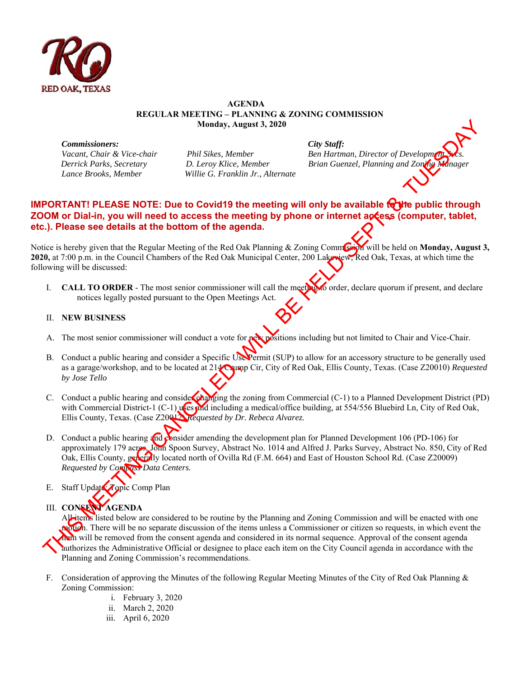

## **AGENDA REGULAR MEETING – PLANNING & ZONING COMMISSION Monday, August 3, 2020**

*Commissioners: City Staff:* 

 *Lance Brooks, Member Willie G. Franklin Jr., Alternate* 

*Vacant, Chair & Vice-chair* Phil Sikes, Member Ben Hartman, Director of Development Svcs. **Ben Hartman**, Director of Development *Derrick Parks, Secretary D. Leroy Klice, Member Brian Guenzel, Planning and Zoning M* 

## **IMPORTANT! PLEASE NOTE: Due to Covid19 the meeting will only be available to the public through ZOOM or Dial-in, you will need to access the meeting by phone or internet actess (computer, tablet, etc.). Please see details at the bottom of the agenda.**

Notice is hereby given that the Regular Meeting of the Red Oak Planning & Zoning Commission will be held on **Monday, August 3, 2020,** at 7:00 p.m. in the Council Chambers of the Red Oak Municipal Center, 200 Lakeview, Red Oak, Texas, at which time the following will be discussed:

I. **CALL TO ORDER** - The most senior commissioner will call the meeting to order, declare quorum if present, and declare notices legally posted pursuant to the Open Meetings Act.

## II. **NEW BUSINESS**

- A. The most senior commissioner will conduct a vote for new positions including but not limited to Chair and Vice-Chair.
- B. Conduct a public hearing and consider a Specific Use Permit (SUP) to allow for an accessory structure to be generally used as a garage/workshop, and to be located at 214 Crump Cir, City of Red Oak, Ellis County, Texas. (Case Z20010) *Requested by Jose Tello*
- C. Conduct a public hearing and consider changing the zoning from Commercial (C-1) to a Planned Development District (PD) with Commercial District-1 (C-1) uses and including a medical/office building, at 554/556 Bluebird Ln, City of Red Oak, Ellis County, Texas. (Case Z20012) *Requested by Dr. Rebeca Alvarez.*
- D. Conduct a public hearing and consider amending the development plan for Planned Development 106 (PD-106) for approximately 179 acres, John Spoon Survey, Abstract No. 1014 and Alfred J. Parks Survey, Abstract No. 850, City of Red Oak, Ellis County, generally located north of Ovilla Rd (F.M. 664) and East of Houston School Rd. (Case Z20009) *Requested by Compass Data Centers.*
- E. Staff Update: Topic Comp Plan

III. **CONSENT AGENDA** 

All items listed below are considered to be routine by the Planning and Zoning Commission and will be enacted with one motion. There will be no separate discussion of the items unless a Commissioner or citizen so requests, in which event the **them** will be removed from the consent agenda and considered in its normal sequence. Approval of the consent agenda authorizes the Administrative Official or designee to place each item on the City Council agenda in accordance with the Planning and Zoning Commission's recommendations. Monday, August 3, 2020<br>
Vacent Chair & Vice-choir<br>
Vacent Chair & Vice-choir<br>
Vacent Chair & Vice-choir<br>
Difference Consistence<br>
Difference Consistence<br>
The Hermann Director of Development<br>
The Hermann Director of Develop

- F. Consideration of approving the Minutes of the following Regular Meeting Minutes of the City of Red Oak Planning & Zoning Commission:
	- i. February 3, 2020
	- ii. March 2, 2020
	- iii. April 6, 2020